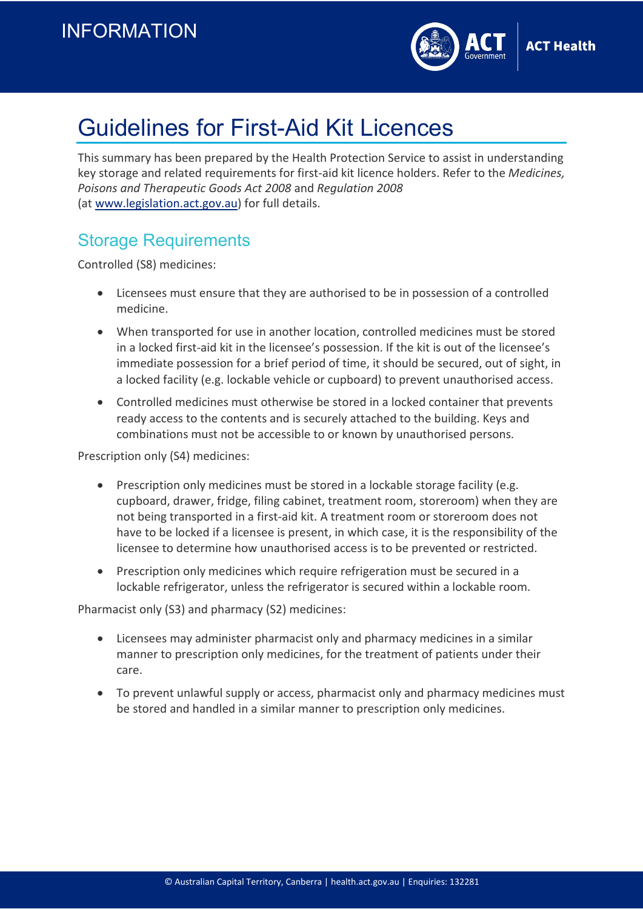

# Guidelines for First-Aid Kit Licences

This summary has been prepared by the Health Protection Service to assist in understanding key storage and related requirements for first-aid kit licence holders. Refer to the *Medicines, Poisons and Therapeutic Goods Act 2008* and *Regulation 2008* (at [www.legislation.act.gov.au\)](file://act.gov.au/act%20health/CS/HPS/PHARM/6.%20PSS%20business/SharePoint%20Documents/Policies%20and%20Procedures/www.legislation.act.gov.au) for full details.

## Storage Requirements

Controlled (S8) medicines:

- Licensees must ensure that they are authorised to be in possession of a controlled medicine.
- When transported for use in another location, controlled medicines must be stored in a locked first-aid kit in the licensee's possession. If the kit is out of the licensee's immediate possession for a brief period of time, it should be secured, out of sight, in a locked facility (e.g. lockable vehicle or cupboard) to prevent unauthorised access.
- Controlled medicines must otherwise be stored in a locked container that prevents ready access to the contents and is securely attached to the building. Keys and combinations must not be accessible to or known by unauthorised persons.

Prescription only (S4) medicines:

- Prescription only medicines must be stored in a lockable storage facility (e.g. cupboard, drawer, fridge, filing cabinet, treatment room, storeroom) when they are not being transported in a first-aid kit. A treatment room or storeroom does not have to be locked if a licensee is present, in which case, it is the responsibility of the licensee to determine how unauthorised access is to be prevented or restricted.
- Prescription only medicines which require refrigeration must be secured in a lockable refrigerator, unless the refrigerator is secured within a lockable room.

Pharmacist only (S3) and pharmacy (S2) medicines:

- Licensees may administer pharmacist only and pharmacy medicines in a similar manner to prescription only medicines, for the treatment of patients under their care.
- To prevent unlawful supply or access, pharmacist only and pharmacy medicines must be stored and handled in a similar manner to prescription only medicines.